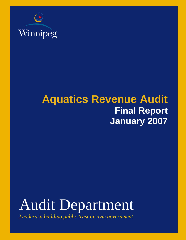

## **Aquatics Revenue Audit Final Report January 2007**

# Audit Department

Leaders in building public trust in civic government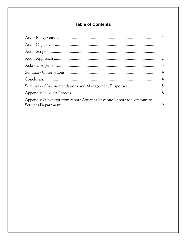### **Table of Contents**

| Appendix 2: Excerpt from report Aquatics Revenue Report to Community |  |
|----------------------------------------------------------------------|--|
|                                                                      |  |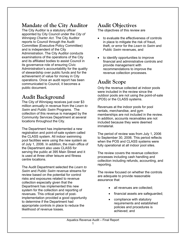### **Mandate of the City Auditor**

The City Auditor is a statutory officer appointed by City Council under the *City of Winnipeg Charter Act*. The City Auditor reports to Council through the Audit Committee (Executive Policy Committee) and is independent of the City Administration. The City Auditor conducts examinations of the operations of the City and its affiliated bodies to assist Council in its governance role of ensuring Civic Administration's accountability for the quality of stewardship over public funds and for the achievement of value for money in City operations. Once an audit report has been communicated to Council, it becomes a public document.

### **Audit Background**

The City of Winnipeg receives just over \$3 million annually in revenue from the *Learn to Swim* and *Public Swim* Programs. The collection of this revenue is managed by the Community Services Department at several locations throughout the City.

The Department has implemented a new registration and point-of-sale system called the CLASS system. All indoor swimming pool facilities were using the new system as of July 1, 2006. In addition, the main office of the Department also uses CLASS for serving the public at 395 Main Street and it is used at three other leisure and fitness centre locations.

The Audit Department selected the *Learn to Swim* and *Public Swim* revenue streams for review based on the potential for control risks and exposures related to revenue collection especially given that the Department has implemented this new system for the collection and reporting of revenues. This critical period of postimplementation provided a good opportunity to determine if the Department had appropriate controls in place to reduce the likelihood of revenue losses.

### **Audit Objectives**

The objectives of this review are

- to evaluate the effectiveness of controls in place to mitigate the risk of fraud, theft, or error for the *Learn to Swim* and *Public Swim* revenues, and
- to identify opportunities to improve financial and administrative controls and provide management with recommendations to improve the revenue collection processes.

### **Audit Scope**

Only the revenue collected at indoor pools were included in the review since the outdoor pools are not using the point-of-sale (POS) or the CLASS systems.

Revenues at the indoor pools for pool rentals, merchandise, and gym memberships are not included in the review. In addition, accounts receivables are not included because they were deemed immaterial.

The period of review was from July 1, 2006 to September 30, 2006. This period reflects when the POS and CLASS systems were fully operational at all indoor pool sites.

The review covers the revenue collection processes including cash handling and collection including refunds, accounting, and reporting.

The review focused on whether the controls are adequate to provide reasonable assurance that

- all revenues are collected;
- financial assets are safeguarded;
- compliance with statutory requirements and established policies and procedures is achieved; and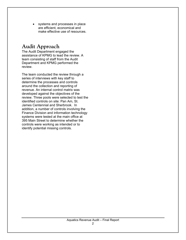• systems and processes in place are efficient, economical and make effective use of resources.

### **Audit Approach**

The Audit Department engaged the assistance of KPMG to lead the review. A team consisting of staff from the Audit Department and KPMG performed the review.

The team conducted the review through a series of interviews with key staff to determine the processes and controls around the collection and reporting of revenue. An internal control matrix was developed against the objectives of the review. Three pools were selected to test the identified controls on site: Pan Am, St. James Centennial and Sherbrook. In addition, a number of controls involving the Finance Division and information technology systems were tested at the main office at 395 Main Street to determine whether the controls were working as intended or to identify potential missing controls.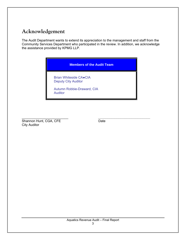### **Acknowledgement**

The Audit Department wants to extend its appreciation to the management and staff from the Community Services Department who participated in the review. In addition, we acknowledge the assistance provided by KPMG LLP.

#### **Members of the Audit Team**

Brian Whiteside CA●CIA Deputy City Auditor

Autumn Robbie-Draward, CIA Auditor

\_\_\_\_\_\_\_\_\_\_\_\_\_\_\_\_\_\_\_\_\_\_\_\_\_ *\_\_\_\_\_\_\_\_\_\_\_\_\_\_\_\_\_\_\_\_\_\_\_\_\_\_\_\_* Shannon Hunt, CGA, CFE Date City Auditor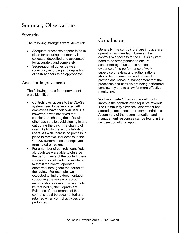### **Summary Observations**

#### **Strengths**

The following strengths were identified:

- Adequate processes appear to be in place for ensuring that money is collected, deposited and accounted for accurately and completely.
- Segregation of duties between collecting, recording and depositing of cash appears to be appropriate.

#### **Areas for Improvement:**

The following areas for improvement were identified:

- Controls over access to the CLASS system need to be improved. All employees have their own user IDs however, it was observed that cashiers are sharing their IDs with other cashiers to avoid signing in and out during the day. The sharing of user ID's limits the accountability of users. As well, there is no process in place to remove user access to the CLASS system once an employee is terminated or resigns.
- For a number of controls identified, although we were able to observe the performance of the control, there was no physical evidence available to test if the control operated effectively throughout the period of the review. For example, we expected to find the documentation supporting the review of account reconciliations or monthly reports to be retained by the Department. Evidence of performance of the control should be documented and retained when control activities are performed.

### **Conclusion**

Generally, the controls that are in place are operating as intended. However, the controls over access to the CLASS system need to be strengthened to ensure accountability of users. In addition, evidence of the performance of work, supervisory review, and authorizations should be documented and retained to provide assurance to management that the processes and controls are being performed consistently and to allow for more effective monitoring.

We have made 15 recommendations to improve the controls over Aquatics revenue. The Community Services Department has agreed to implement the recommendations. A summary of the recommendation and management responses can be found in the next section of this report.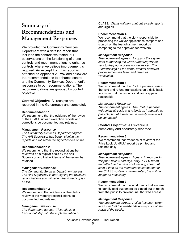### **Summary of Recommendations and Management Responses**

We provided the Community Services Department with a detailed report that included the controls we tested, our observations on the functioning of these controls and recommendations to enhance controls where we believe improvement is required. An excerpt from this report is attached as Appendix 2. Provided below are the recommendations to enhance control and the Community Services Department's responses to our recommendations. The recommendations are grouped by control objective.

**Control Objective**: All receipts are recorded in the GL correctly and completely.

#### **Recommendation 1**

We recommend that the evidence of the review of the CLASS upload exception reports and corrections be documented and retained.

#### *Management Response*

*The Community Services Department agrees. The A/R Supervisor has begun signing the reports and will retain the signed copies on file.* 

#### **Recommendation 2**

We recommend that the reconciliations be reviewed on a regular basis by the A/R Supervisor and that evidence of the review be retained.

#### *Management Response*

*The Community Services Department agrees. The A/R Supervisor is now signing the reviewed reconciliations and will retain the signed copies on file.* 

#### **Recommendation 3**

We recommend that evidence of the clerk's review of the monthly reconciliations be documented and retained.

#### *Management Response*

*The department agrees. This reflects a transitional step with the implementation of*  *CLASS. Clerks will now print out e-cash reports and sign off.* 

#### **Recommendation 4**

We recommend that the clerk responsible for processing fee waiver applications compare and sign off on the fee adjustment report by comparing to the approved fee waivers.

#### *Management Response*

*The department agrees. A copy of the signed letter authorizing the waiver (amount) will be sent to the pool processing the waiver. The Clerk will sign off the actual amount of waiver processed on this letter and retain as verification.* 

#### **Recommendation 5**

We recommend that the Pool Supervisor review the void and refund transactions on a daily basis to ensure that the refunds and voids appear reasonable.

#### *Management Response*

*The department agrees. The Pool Supervisor will review all voids and refunds as frequently as possible, but at a minimum a weekly review will be conducted.* 

**Control Objective:** All revenue is completely and accurately recorded.

#### **Recommendation 6**

We recommend that evidence of review of the Price Look Up (PLU) report be printed and retained daily.

#### *Management Response*

*The department agrees. Aquatic Branch clerks will print, review and sign, daily, a PLU report and attach to the pass sold tracking sheet. At such a time as the membership component of the CLASS system is implemented, this will no longer be necessary*.

#### **Recommendation 7**

We recommend that the wrist bands that are use to identify paid customers be placed out of reach from the public to prevent unauthorized access.

#### *Management Response*

*The department agrees. Action has been taken to ensure that the wristbands are kept out of the reach of the public.*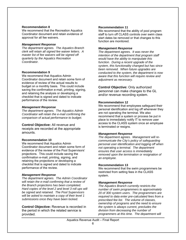#### **Recommendation 8**

We recommend that the Recreation Aquatics Coordinator document and retain evidence of approval for all fee waivers.

#### *Management Response*

*The department agrees. The Aquatics Branch clerk will retain all signed fee waiver letters. A master list of fee waivers will be signed off quarterly by the Aquatics Recreation Coordinator*.

#### **Recommendation 9**

We recommend that Aquatics Admin Coordinator document and retain some form of evidence of review of the actual results to budget on a monthly basis. This could include saving the confirmation e-mail, printing, signing, and retaining the analysis or developing a checklist that is signed and dated to indicate performance of the review.

#### *Management Response*

*The department agrees. The Aquatics Admin Coordinator will retain the e-mail confirming the comparison of actual performance to budget.* 

#### **Control Objective:** All revenue and

receipts are recorded at the appropriate amounts.

#### **Recommendation 10**

We recommend that Aquatics Admin Coordinator document and retain some form of evidence of the review of the Pool Supervisors' projections. This could include saving the confirmation e-mail, printing, signing, and retaining the projections or developing a checklist that is signed and dated to indicate performance of the review.

#### *Management Response*

*The department agrees. The Admin Coordinator will retain the e-mail confirming that a review of the Branch projections has been completed. Hard copies of the level 2 and level 3 roll ups will be signed and retained. The Pool Supervisors will be asked to maintain a copy of their level 1 submissions once they have been locked.* 

**Control Objective:** Revenue is recorded in the period in which the related service is provided.

#### **Recommendation 11**

We recommend that the ability of pool program staff to turn off CLASS controls over swim class start dates be removed or that changes to this function are monitored.

#### *Management Response*

*The department agrees. It was never the intention of the department that program staff would have the ability to manipulate this function. During a recent upgrade of the system, this functionality changed but has since been removed. When future upgrades are conducted to the system, the department is now aware that this function will require review and adjustment as necessary.* 

**Control Objective:** Only authorized personnel can make changes to the GL and/or revenue recording system.

#### **Recommendation 12**

We recommend that employees safeguard their personal identification and log off whenever they are not operating the terminal. We also recommend that a system or process be put in place to immediately notify IT to remove user access to the CLASS system once an employee is terminated or resigns.

#### *Management Response*

*The department agrees. Management will recommunicate the City's policy of safeguarding personal user identification and logging off when not operating a terminal. The department ensures that user access is immediately removed upon the termination or resignation of an employee.* 

#### **Recommendation 13**

We recommend that the swim programmers be restricted from setting fees in the CLASS system.

#### *Management Response*

*The Aquatics Branch currently restricts the number of swim programmers to approximately 20 of 300 system users. The programmers are required to data enter pre-calculated fees from a prescribed fee list. The volume of classes, ownership of programs and the need to ensure the system is always current, precludes the division from decreasing the number of programmers at this time. The department will*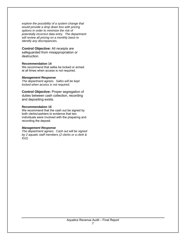*explore the possibility of a system change that would provide a drop down box with pricing options in order to minimize the risk of potentially incorrect data entry. The department will review all pricing on a monthly basis to identify any discrepancies.* 

**Control Objective:** All receipts are safeguarded from misappropriation or destruction.

#### **Recommendation 14**

We recommend that safes be locked or armed at all times when access is not required.

#### *Management Response*

*The department agrees. Safes will be kept locked when access is not required.* 

**Control Objective:** Proper segregation of duties between cash collection, recording and depositing exists.

#### **Recommendation 15**

We recommend that the cash out be signed by both clerks/cashiers to evidence that two individuals were involved with the preparing and recording the deposit.

#### *Management Response*

*The department agrees. Cash out will be signed by 2 aquatic staff members (2 clerks or a clerk & IG2).*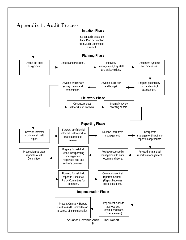